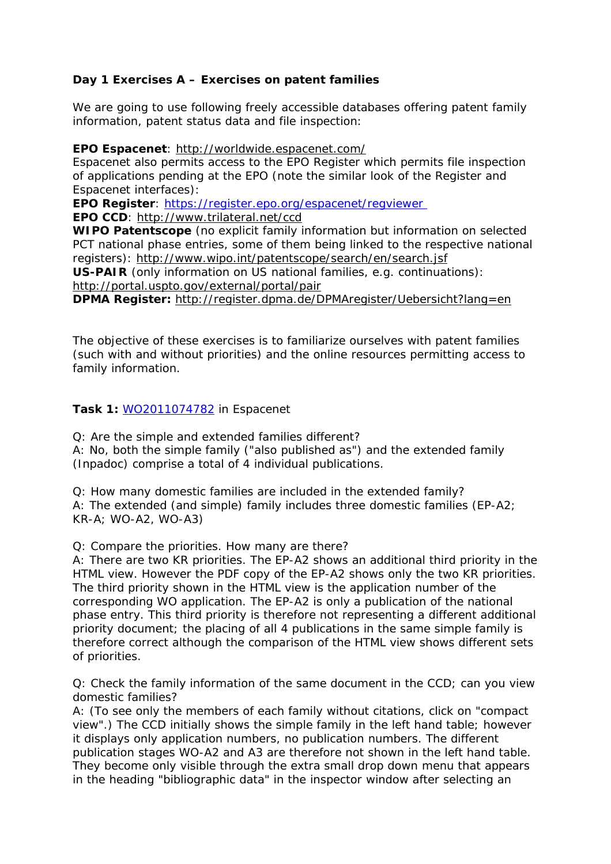## **Day 1 Exercises A – Exercises on patent families**

We are going to use following freely accessible databases offering patent family information, patent status data and file inspection:

**EPO Espacenet**:<http://worldwide.espacenet.com/>

Espacenet also permits access to the EPO Register which permits file inspection of applications pending at the EPO (note the similar look of the Register and Espacenet interfaces):

**EPO Register**:<https://register.epo.org/espacenet/regviewer>

**EPO CCD**:<http://www.trilateral.net/ccd>

**WIPO Patentscope** (no explicit family information but information on selected PCT national phase entries, some of them being linked to the respective national registers): <http://www.wipo.int/patentscope/search/en/search.jsf>

**US-PAIR** (only information on US national families, e.g. continuations): <http://portal.uspto.gov/external/portal/pair>

**DPMA Register:** <http://register.dpma.de/DPMAregister/Uebersicht?lang=en>

The objective of these exercises is to familiarize ourselves with patent families (such with and without priorities) and the online resources permitting access to family information.

#### **Task 1:** [WO2011074782](http://worldwide.espacenet.com/publicationDetails/biblio?II=1&ND=7&adjacent=true&locale=en_EP&FT=D&date=20110623&CC=WO&NR=2011074782A2&KC=A2) in Espacenet

Q: Are the simple and extended families different? A: No, both the simple family ("also published as") and the extended family (Inpadoc) comprise a total of 4 individual publications.

Q: How many domestic families are included in the extended family? A: The extended (and simple) family includes three domestic families (EP-A2; KR-A; WO-A2, WO-A3)

Q: Compare the priorities. How many are there?

A: There are two KR priorities. The EP-A2 shows an additional third priority in the HTML view. However the PDF copy of the EP-A2 shows only the two KR priorities. The third priority shown in the HTML view is the application number of the corresponding WO application. The EP-A2 is only a publication of the national phase entry. This third priority is therefore not representing a different additional priority document; the placing of all 4 publications in the same simple family is therefore correct although the comparison of the HTML view shows different sets of priorities.

Q: Check the family information of the same document in the CCD; can you view domestic families?

A: (To see only the members of each family without citations, click on "compact view".) The CCD initially shows the simple family in the left hand table; however it displays only application numbers, no publication numbers. The different publication stages WO-A2 and A3 are therefore not shown in the left hand table. They become only visible through the extra small drop down menu that appears in the heading "bibliographic data" in the inspector window after selecting an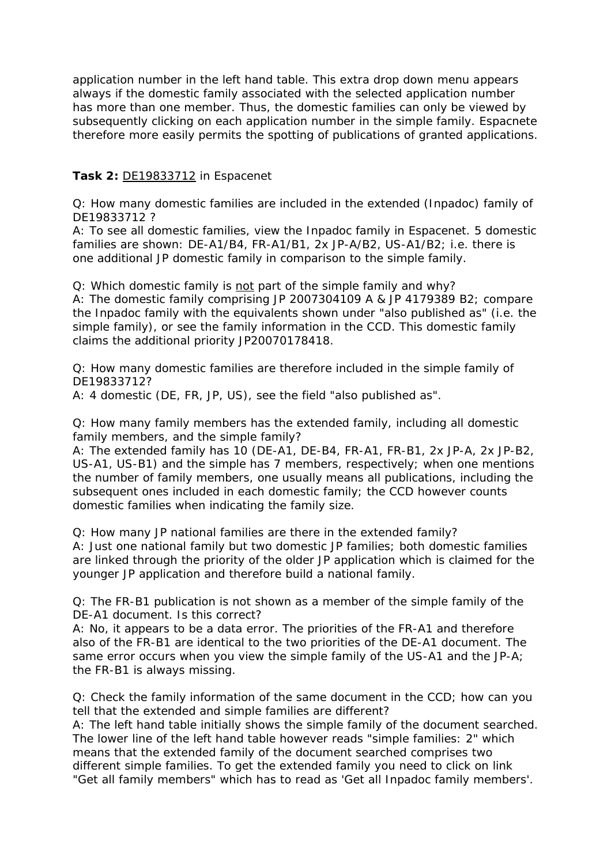application number in the left hand table. This extra drop down menu appears always if the domestic family associated with the selected application number has more than one member. Thus, the domestic families can only be viewed by subsequently clicking on each application number in the simple family. Espacnete therefore more easily permits the spotting of publications of granted applications.

## **Task 2:** [DE19833712](http://worldwide.espacenet.com/publicationDetails/biblio?DB=EPODOC&II=0&adjacent=true&locale=en_EP&FT=D&date=19990128&CC=DE&NR=19833712A1&KC=A1) in Espacenet

Q: How many domestic families are included in the extended (Inpadoc) family of DE19833712 ?

A: To see all domestic families, view the Inpadoc family in Espacenet. 5 domestic families are shown: DE-A1/B4, FR-A1/B1, 2x JP-A/B2, US-A1/B2; i.e. there is one additional JP domestic family in comparison to the simple family.

Q: Which domestic family is not part of the simple family and why?

A: The domestic family comprising JP 2007304109 A & JP 4179389 B2; compare the Inpadoc family with the equivalents shown under "also published as" (i.e. the simple family), or see the family information in the CCD. This domestic family claims the additional priority JP20070178418.

Q: How many domestic families are therefore included in the simple family of DE19833712?

A: 4 domestic (DE, FR, JP, US), see the field "also published as".

Q: How many family members has the extended family, including all domestic family members, and the simple family?

A: The extended family has 10 (DE-A1, DE-B4, FR-A1, FR-B1, 2x JP-A, 2x JP-B2, US-A1, US-B1) and the simple has 7 members, respectively; when one mentions the number of family members, one usually means all publications, including the subsequent ones included in each domestic family; the CCD however counts domestic families when indicating the family size.

Q: How many JP national families are there in the extended family?

A: Just one national family but two domestic JP families; both domestic families are linked through the priority of the older JP application which is claimed for the younger JP application and therefore build a national family.

Q: The FR-B1 publication is not shown as a member of the simple family of the DE-A1 document. Is this correct?

A: No, it appears to be a data error. The priorities of the FR-A1 and therefore also of the FR-B1 are identical to the two priorities of the DE-A1 document. The same error occurs when you view the simple family of the US-A1 and the JP-A; the FR-B1 is always missing.

Q: Check the family information of the same document in the CCD; how can you tell that the extended and simple families are different?

A: The left hand table initially shows the simple family of the document searched. The lower line of the left hand table however reads "simple families: 2" which means that the extended family of the document searched comprises two different simple families. To get the extended family you need to click on link "Get all family members" which has to read as 'Get all Inpadoc family members'.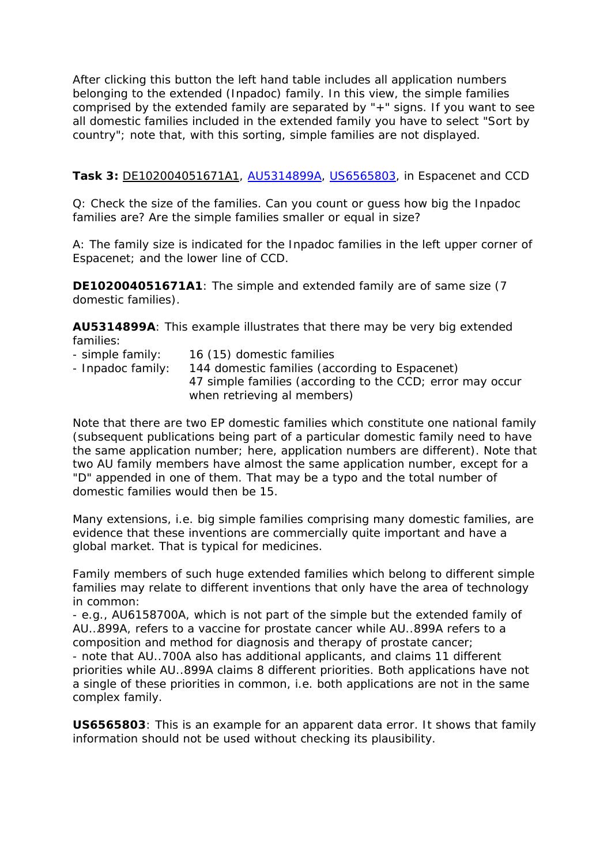After clicking this button the left hand table includes all application numbers belonging to the extended (Inpadoc) family. In this view, the simple families comprised by the extended family are separated by "+" signs. If you want to see all domestic families included in the extended family you have to select "Sort by country"; note that, with this sorting, simple families are not displayed.

## **Task 3:** [DE102004051671A1](http://worldwide.espacenet.com/publicationDetails/biblio?DB=EPODOC&II=0&adjacent=true&locale=en_GB&FT=D&CC=DE&NR=102004051671A), [AU5314899A](http://worldwide.espacenet.com/publicationDetails/biblio?DB=worldwide.espacenet.com&II=0&ND=3&adjacent=true&locale=en_EP&FT=D&date=20000207&CC=AU&NR=5314899A&KC=A), [US6565803,](http://worldwide.espacenet.com/publicationDetails/biblio?CC=US&NR=6565803B1&KC=B1&FT=D&ND=3&date=20030520&DB=EPODOC&locale=en_EP) in Espacenet and CCD

Q: Check the size of the families. Can you count or guess how big the Inpadoc families are? Are the simple families smaller or equal in size?

A: The family size is indicated for the Inpadoc families in the left upper corner of Espacenet; and the lower line of CCD.

**DE102004051671A1**: The simple and extended family are of same size (7 domestic families).

**AU5314899A**: This example illustrates that there may be very big extended families:

- simple family: 16 (15) domestic families - Inpadoc family: 144 domestic families (according to Espacenet) 47 simple families (according to the CCD; error may occur when retrieving al members)

Note that there are two EP domestic families which constitute one national family (subsequent publications being part of a particular domestic family need to have the same application number; here, application numbers are different). Note that two AU family members have almost the same application number, except for a "D" appended in one of them. That may be a typo and the total number of domestic families would then be 15.

Many extensions, i.e. big simple families comprising many domestic families, are evidence that these inventions are commercially quite important and have a global market. That is typical for medicines.

Family members of such huge extended families which belong to different simple families may relate to different inventions that only have the area of technology in common:

- e.g., AU6158700A, which is not part of the simple but the extended family of AU…899A, refers to a vaccine for prostate cancer while AU..899A refers to a composition and method for diagnosis and therapy of prostate cancer; - note that AU..700A also has additional applicants, and claims 11 different priorities while AU..899A claims 8 different priorities. Both applications have not a single of these priorities in common, i.e. both applications are not in the same complex family.

**US6565803**: This is an example for an apparent data error. It shows that family information should not be used without checking its plausibility.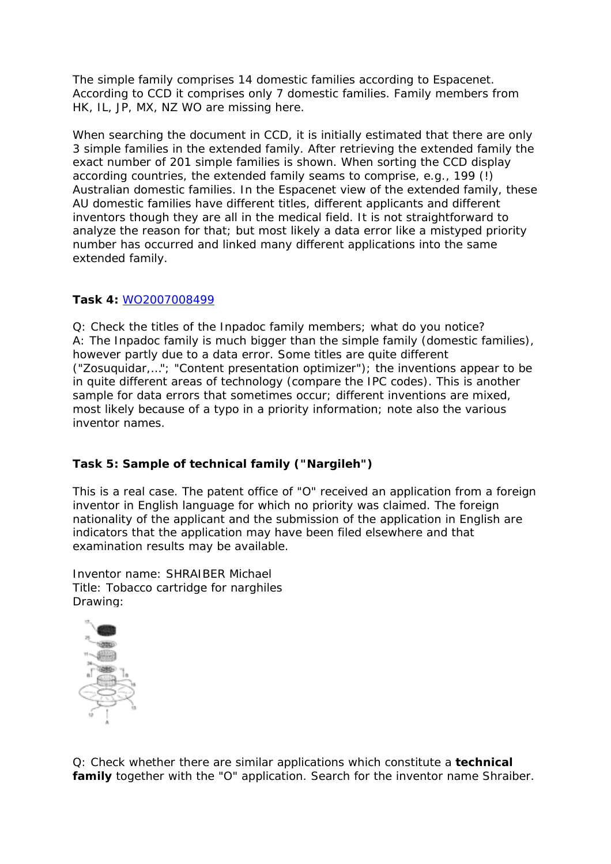The simple family comprises 14 domestic families according to Espacenet. According to CCD it comprises only 7 domestic families. Family members from HK, IL, JP, MX, NZ WO are missing here.

When searching the document in CCD, it is initially estimated that there are only 3 simple families in the extended family. After retrieving the extended family the exact number of 201 simple families is shown. When sorting the CCD display according countries, the extended family seams to comprise, e.g., 199 (!) Australian domestic families. In the Espacenet view of the extended family, these AU domestic families have different titles, different applicants and different inventors though they are all in the medical field. It is not straightforward to analyze the reason for that; but most likely a data error like a mistyped priority number has occurred and linked many different applications into the same extended family.

# **Task 4:** [WO2007008499](http://worldwide.espacenet.com/publicationDetails/biblio?DB=EPODOC&II=0&ND=3&adjacent=true&locale=en_EP&FT=D&date=20070118&CC=WO&NR=2007008499A1&KC=A1)

Q: Check the titles of the Inpadoc family members; what do you notice? A: The Inpadoc family is much bigger than the simple family (domestic families), however partly due to a data error. Some titles are quite different ("Zosuquidar,…"; "Content presentation optimizer"); the inventions appear to be in quite different areas of technology (compare the IPC codes). This is another sample for data errors that sometimes occur; different inventions are mixed, most likely because of a typo in a priority information; note also the various inventor names.

# **Task 5: Sample of technical family ("Nargileh")**

This is a real case. The patent office of "O" received an application from a foreign inventor in English language for which no priority was claimed. The foreign nationality of the applicant and the submission of the application in English are indicators that the application may have been filed elsewhere and that examination results may be available.

Inventor name: SHRAIBER Michael Title: Tobacco cartridge for narghiles Drawing:



Q: Check whether there are similar applications which constitute a **technical family** together with the "O" application. Search for the inventor name Shraiber.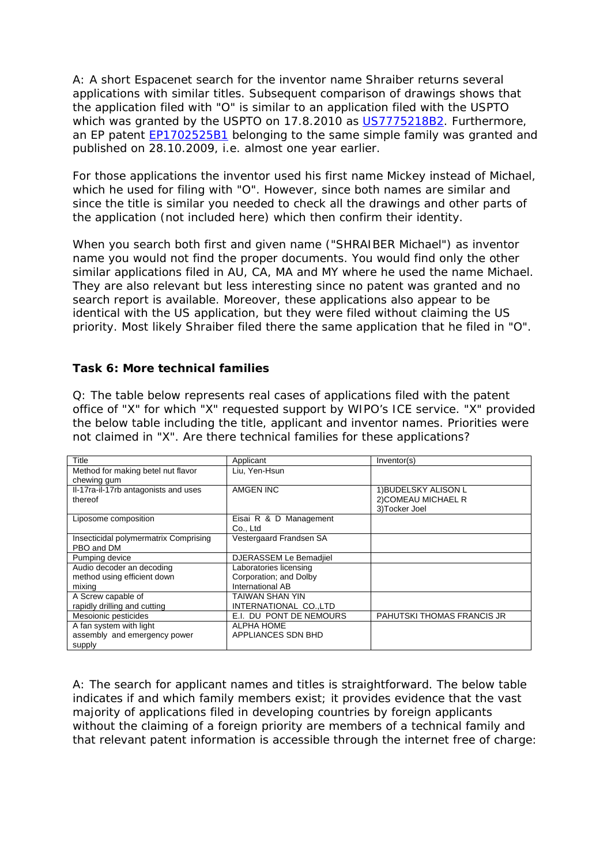A: A short Espacenet search for the inventor name Shraiber returns several applications with similar titles. Subsequent comparison of drawings shows that the application filed with "O" is similar to an application filed with the USPTO which was granted by the USPTO on 17.8.2010 as [US7775218B2](http://worldwide.espacenet.com/publicationDetails/biblio?CC=US&NR=7775218B2&KC=B2&FT=D&ND=4&date=20100817&DB=worldwide.espacenet.com&locale=en_EP). Furthermore, an EP patent [EP1702525B1](http://worldwide.espacenet.com/publicationDetails/biblio?DB=EPODOC&II=0&ND=3&adjacent=true&locale=en_EP&FT=D&date=20060920&CC=EP&NR=1702525A1&KC=A1) belonging to the same simple family was granted and published on 28.10.2009, i.e. almost one year earlier.

For those applications the inventor used his first name Mickey instead of Michael, which he used for filing with "O". However, since both names are similar and since the title is similar you needed to check all the drawings and other parts of the application (not included here) which then confirm their identity.

When you search both first and given name ("SHRAIBER Michael") as inventor name you would not find the proper documents. You would find only the other similar applications filed in AU, CA, MA and MY where he used the name Michael. They are also relevant but less interesting since no patent was granted and no search report is available. Moreover, these applications also appear to be identical with the US application, but they were filed without claiming the US priority. Most likely Shraiber filed there the same application that he filed in "O".

#### **Task 6: More technical families**

Q: The table below represents real cases of applications filed with the patent office of "X" for which "X" requested support by WIPO's ICE service. "X" provided the below table including the title, applicant and inventor names. Priorities were not claimed in "X". Are there technical families for these applications?

| Title                                 | Applicant                 | Inventor(s)                       |
|---------------------------------------|---------------------------|-----------------------------------|
| Method for making betel nut flavor    | Liu, Yen-Hsun             |                                   |
| chewing gum                           |                           |                                   |
| Il-17ra-il-17rb antagonists and uses  | AMGEN INC                 | 1) BUDELSKY ALISON L              |
| thereof                               |                           | 2) COMEAU MICHAEL R               |
|                                       |                           | 3) Tocker Joel                    |
| Liposome composition                  | Eisai R & D Management    |                                   |
|                                       | Co., Ltd                  |                                   |
| Insecticidal polymermatrix Comprising | Vestergaard Frandsen SA   |                                   |
| PBO and DM                            |                           |                                   |
| Pumping device                        | DJERASSEM Le Bemadjiel    |                                   |
| Audio decoder an decoding             | Laboratories licensing    |                                   |
| method using efficient down           | Corporation; and Dolby    |                                   |
| mixing                                | International AB          |                                   |
| A Screw capable of                    | TAIWAN SHAN YIN           |                                   |
| rapidly drilling and cutting          | INTERNATIONAL CO.,LTD     |                                   |
| Mesoionic pesticides                  | E.I. DU PONT DE NEMOURS   | <b>PAHUTSKI THOMAS FRANCIS JR</b> |
| A fan system with light               | <b>ALPHA HOME</b>         |                                   |
| assembly and emergency power          | <b>APPLIANCES SDN BHD</b> |                                   |
| supply                                |                           |                                   |

A: The search for applicant names and titles is straightforward. The below table indicates if and which family members exist; it provides evidence that the vast majority of applications filed in developing countries by foreign applicants without the claiming of a foreign priority are members of a technical family and that relevant patent information is accessible through the internet free of charge: